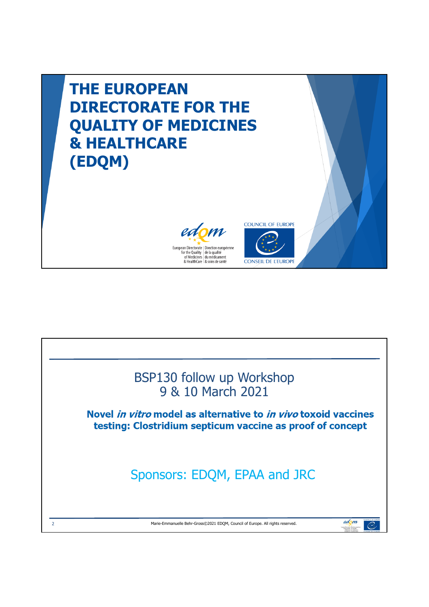

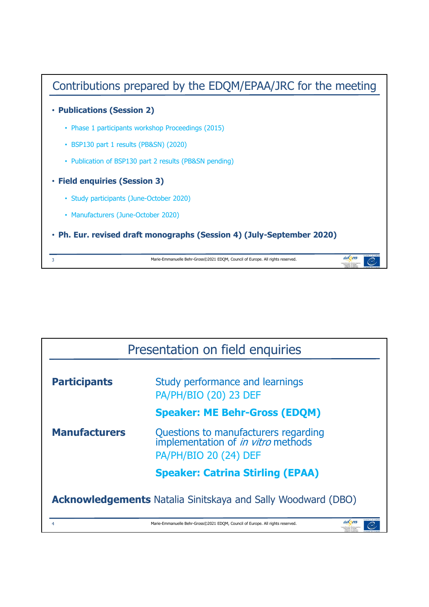

|                                                                     | Presentation on field enquiries                                                                            |
|---------------------------------------------------------------------|------------------------------------------------------------------------------------------------------------|
| <b>Participants</b>                                                 | Study performance and learnings<br>PA/PH/BIO (20) 23 DEF                                                   |
|                                                                     | <b>Speaker: ME Behr-Gross (EDQM)</b>                                                                       |
| <b>Manufacturers</b>                                                | Questions to manufacturers regarding<br>implementation of <i>in vitro</i> methods<br>PA/PH/BIO 20 (24) DEF |
|                                                                     | <b>Speaker: Catrina Stirling (EPAA)</b>                                                                    |
| <b>Acknowledgements</b> Natalia Sinitskaya and Sally Woodward (DBO) |                                                                                                            |
| 4                                                                   | edom<br>Marie-Emmanuelle Behr-Gross©2021 EDOM, Council of Europe. All rights reserved.                     |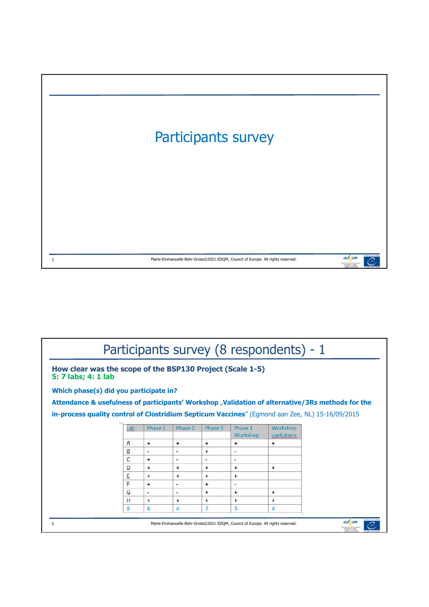

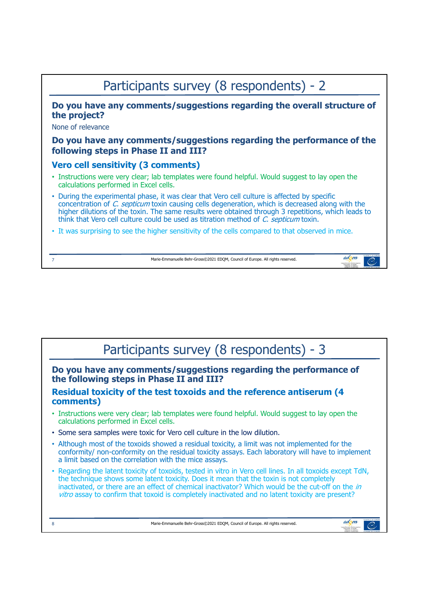

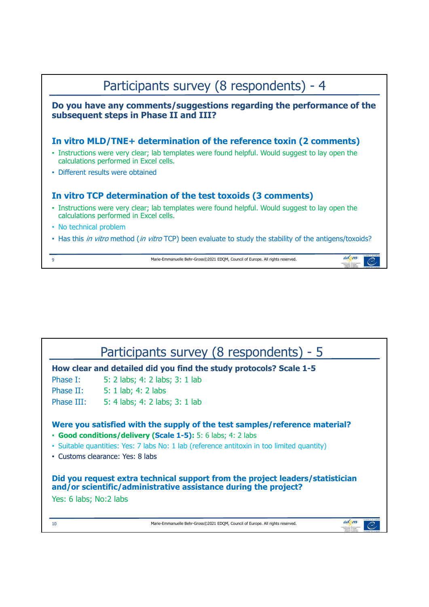| Participants survey (8 respondents) - 4                                                                                                                                                                                                             |  |  |
|-----------------------------------------------------------------------------------------------------------------------------------------------------------------------------------------------------------------------------------------------------|--|--|
| Do you have any comments/suggestions regarding the performance of the<br>subsequent steps in Phase II and III?                                                                                                                                      |  |  |
| In vitro MLD/TNE+ determination of the reference toxin (2 comments)<br>Instructions were very clear; lab templates were found helpful. Would suggest to lay open the<br>calculations performed in Excel cells.<br>• Different results were obtained |  |  |
| In vitro TCP determination of the test toxoids (3 comments)                                                                                                                                                                                         |  |  |
| Instructions were very clear; lab templates were found helpful. Would suggest to lay open the<br>calculations performed in Excel cells.                                                                                                             |  |  |
| • No technical problem                                                                                                                                                                                                                              |  |  |
| • Has this <i>in vitro</i> method ( <i>in vitro</i> TCP) been evaluate to study the stability of the antigens/toxoids?                                                                                                                              |  |  |
| edom<br>Marie-Emmanuelle Behr-Gross©2021 EDOM, Council of Europe. All rights reserved.<br>9                                                                                                                                                         |  |  |

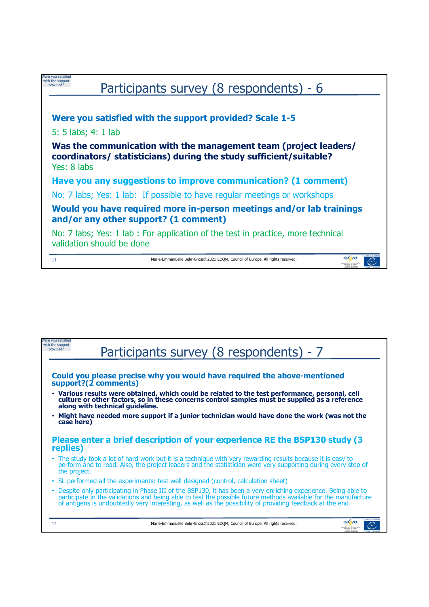

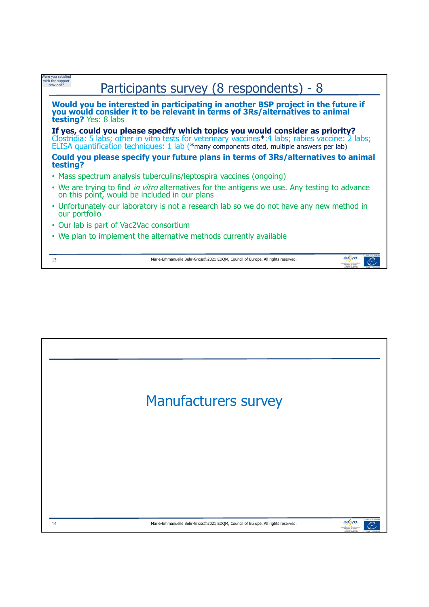| Vere you satisfied<br>with the support |                                                                                                                                                                                                                                                                                 |
|----------------------------------------|---------------------------------------------------------------------------------------------------------------------------------------------------------------------------------------------------------------------------------------------------------------------------------|
| provided <sup>2</sup>                  | Participants survey (8 respondents) - 8                                                                                                                                                                                                                                         |
| <b>testing?</b> Yes: 8 labs            | Would you be interested in participating in another BSP project in the future if you would consider it to be relevant in terms of 3Rs/alternatives to animal                                                                                                                    |
|                                        | If yes, could you please specify which topics you would consider as priority?<br>Clostridia: 5 labs; other in vitro tests for veterinary vaccines*:4 labs; rabies vaccine: 2 labs;<br>ELISA quantification techniques: 1 lab (*many components cited, multiple answers per lab) |
| testing?                               | Could you please specify your future plans in terms of 3Rs/alternatives to animal                                                                                                                                                                                               |
|                                        | • Mass spectrum analysis tuberculins/leptospira vaccines (ongoing)                                                                                                                                                                                                              |
|                                        | • We are trying to find <i>in vitro</i> alternatives for the antigens we use. Any testing to advance<br>on this point, would be included in our plans                                                                                                                           |
| our portfolio                          | • Unfortunately our laboratory is not a research lab so we do not have any new method in                                                                                                                                                                                        |
|                                        | • Our lab is part of Vac2Vac consortium                                                                                                                                                                                                                                         |
|                                        | • We plan to implement the alternative methods currently available                                                                                                                                                                                                              |
| 13                                     | edom<br>Marie-Emmanuelle Behr-Gross©2021 EDOM, Council of Europe. All rights reserved.                                                                                                                                                                                          |

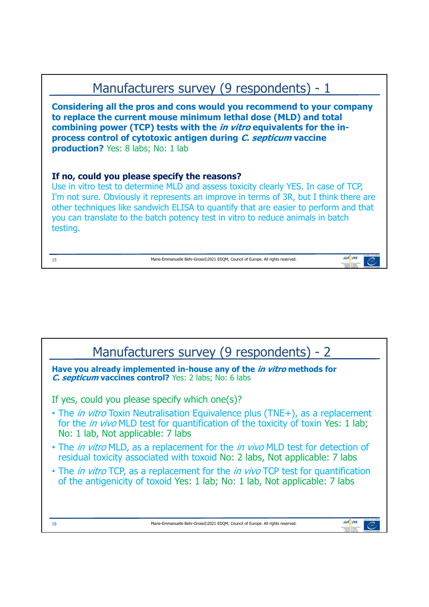

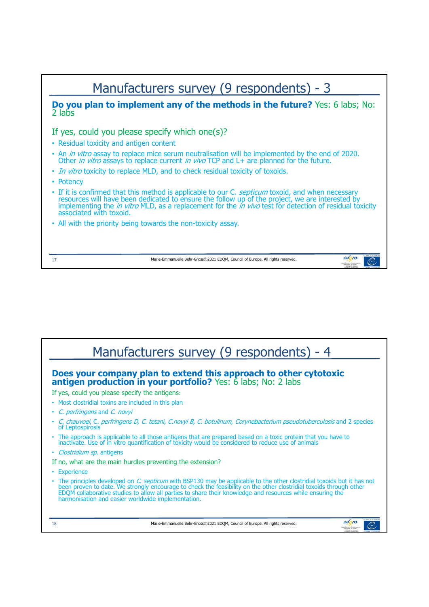

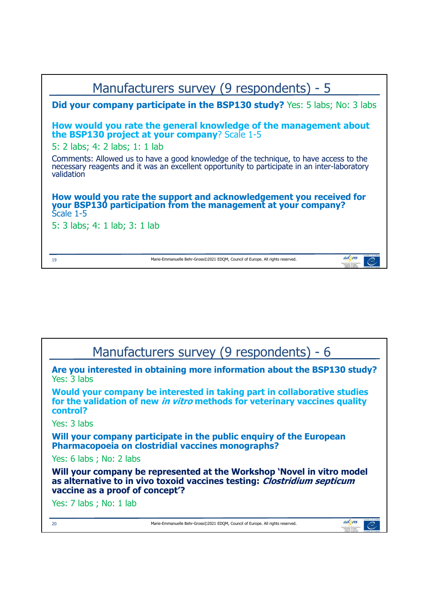| Manufacturers survey (9 respondents) - 5                                                                                                                                                         |
|--------------------------------------------------------------------------------------------------------------------------------------------------------------------------------------------------|
| <b>Did your company participate in the BSP130 study?</b> Yes: 5 labs; No: 3 labs                                                                                                                 |
| How would you rate the general knowledge of the management about<br>the BSP130 project at your company? Scale 1-5                                                                                |
| 5: 2 labs; 4: 2 labs; 1: 1 lab                                                                                                                                                                   |
| Comments: Allowed us to have a good knowledge of the technique, to have access to the necessary reagents and it was an excellent opportunity to participate in an inter-laboratory<br>validation |
| How would you rate the support and acknowledgement you received for<br>your BSP130 participation from the management at your company?<br>Šcale 1-5                                               |
| 5: 3 labs; 4: 1 lab; 3: 1 lab                                                                                                                                                                    |
|                                                                                                                                                                                                  |
| edom<br>19<br>Marie-Emmanuelle Behr-Gross©2021 EDOM, Council of Europe. All rights reserved.                                                                                                     |